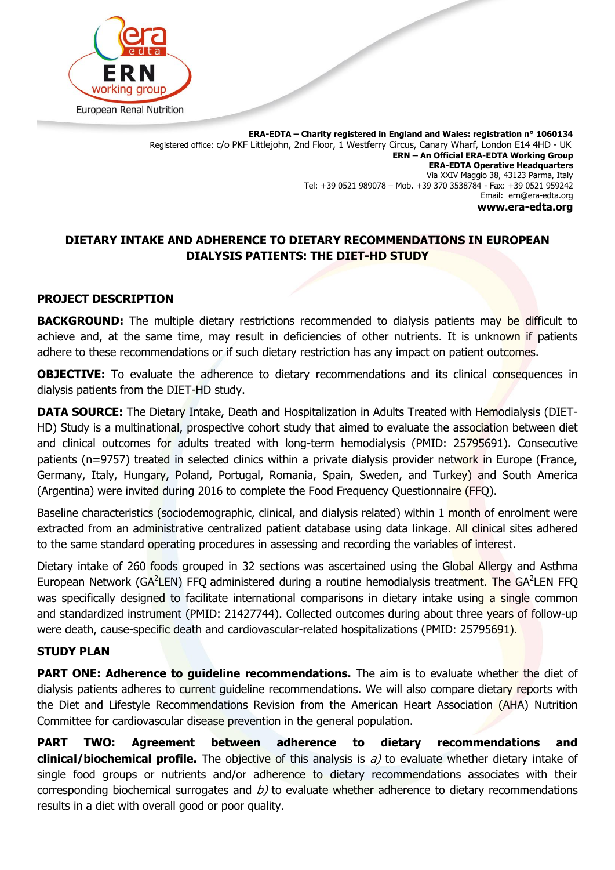

**ERA-EDTA – Charity registered in England and Wales: registration n° 1060134** Registered office: c/o PKF Littlejohn, 2nd Floor, 1 Westferry Circus, Canary Wharf, London E14 4HD - UK **ERN – An Official ERA-EDTA Working Group ERA-EDTA Operative Headquarters** Via XXIV Maggio 38, 43123 Parma, Italy Tel: +39 0521 989078 – Mob. +39 370 3538784 - Fax: +39 0521 959242 Email: ern@era-edta.org **www.era-edta.org**

## **DIETARY INTAKE AND ADHERENCE TO DIETARY RECOMMENDATIONS IN EUROPEAN DIALYSIS PATIENTS: THE DIET-HD STUDY**

#### **PROJECT DESCRIPTION**

**BACKGROUND:** The multiple dietary restrictions recommended to dialysis patients may be difficult to achieve and, at the same time, may result in deficiencies of other nutrients. It is unknown if patients adhere to these recommendations or if such dietary restriction has any impact on patient outcomes.

**OBJECTIVE:** To evaluate the adherence to dietary recommendations and its clinical consequences in dialysis patients from the DIET-HD study.

**DATA SOURCE:** The Dietary Intake, Death and Hospitalization in Adults Treated with Hemodialysis (DIET-HD) Study is a multinational, prospective cohort study that aimed to evaluate the association between diet and clinical outcomes for adults treated with long-term hemodialysis (PMID: 25795691). Consecutive patients (n=9757) treated in selected clinics within a private dialysis provider network in Europe (France, Germany, Italy, Hungary, Poland, Portugal, Romania, Spain, Sweden, and Turkey) and South America (Argentina) were invited during 2016 to complete the Food Frequency Questionnaire (FFQ).

Baseline characteristics (sociodemographic, clinical, and dialysis related) within 1 month of enrolment were extracted from an administrative centralized patient database using data linkage. All clinical sites adhered to the same standard operating procedures in assessing and recording the variables of interest.

Dietary intake of 260 foods grouped in 32 sections was ascertained using the Global Allergy and Asthma European Network (GA<sup>2</sup>LEN) FFQ administered during a routine hemodialysis treatment. The GA<sup>2</sup>LEN FFQ was specifically designed to facilitate international comparisons in dietary intake using a single common and standardized instrument (PMID: 21427744). Collected outcomes during about three years of follow-up were death, cause-specific death and cardiovascular-related hospitalizations (PMID: 25795691).

#### **STUDY PLAN**

**PART ONE: Adherence to guideline recommendations.** The aim is to evaluate whether the diet of dialysis patients adheres to current guideline recommendations. We will also compare dietary reports with the Diet and Lifestyle Recommendations Revision from the American Heart Association (AHA) Nutrition Committee for cardiovascular disease prevention in the general population.

**PART TWO: Agreement between adherence to dietary recommendations and clinical/biochemical profile.** The objective of this analysis is a) to evaluate whether dietary intake of single food groups or nutrients and/or adherence to dietary recommendations associates with their corresponding biochemical surrogates and  $b$ ) to evaluate whether adherence to dietary recommendations results in a diet with overall good or poor quality.